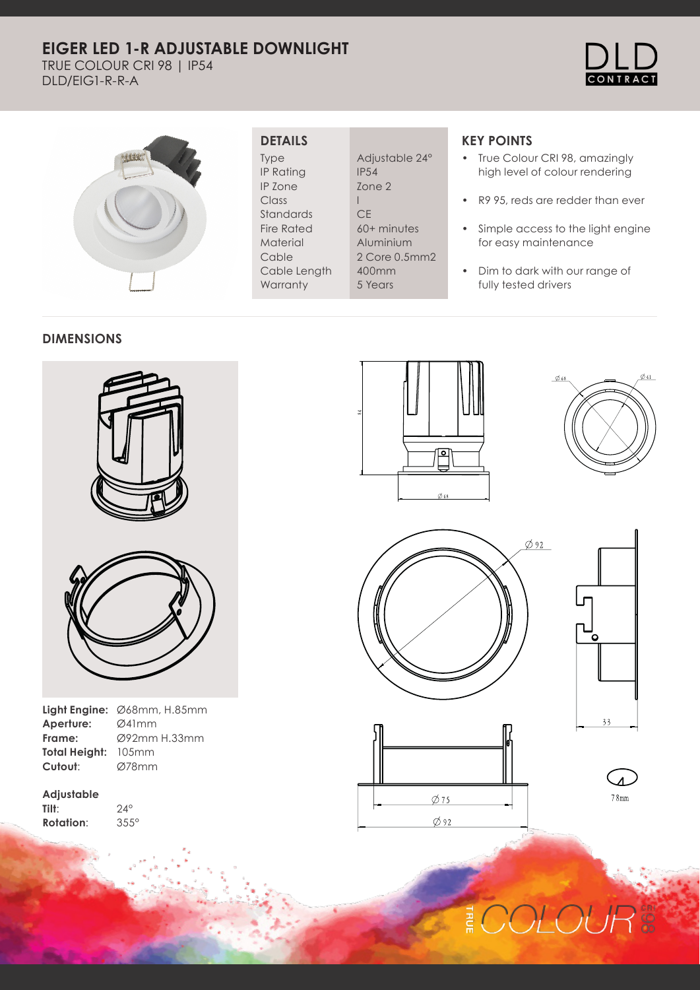# **EIGER LED 1-R ADJUSTABLE DOWNLIGHT**

TRUE COLOUR CRI 98 | IP54 DLD/EIG1-R-R-A





## **DETAILS**

Type IP Rating IP Zone Class Standards Fire Rated Material Cable Cable Length **Warranty** 

Adjustable 24° IP54 Zone 2 I **CE** 60+ minutes Aluminium 2 Core 0.5mm2 400mm 5 Years

# **KEY POINTS**

- True Colour CRI 98, amazingly high level of colour rendering
- R9 95, reds are redder than ever
- Simple access to the light engine for easy maintenance
- Dim to dark with our range of fully tested drivers

#### **DIMENSIONS**





| <b>Light Engine:</b> $\emptyset$ 68mm, H.85mm |
|-----------------------------------------------|
| Ø41mm                                         |
| Ø92mm H.33mm                                  |
| <b>Total Height: 105mm</b>                    |
| Ø78mm                                         |
|                                               |

24°

**Adjustable Tilt**: **Rotation**: 355°













# OLOUI E